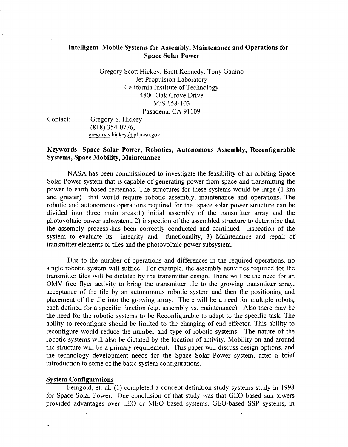# **Intelligent Mobile Systems for Assembly, Maintenance and Operations for Space Solar Power**

Gregory Scott Hickey, Brett Kennedy, Tony Ganino Jet Propulsion Laboratory California Institute of Technology 4800 *Oak* Grove Drive Pasadena, **CA** 91 109 M/S 158-103

Contact:

Gregory S. Hickey **[gregory.s.hickey@jpl.nasa.gov](mailto:gregory.s.hickey@jpl.nasa.gov)**  (81 **8)** 354-0776,

## **Keywords: Space Solar Power, Robotics, Autonomous Assembly, Reconfigurable Systems, Space Mobility, Maintenance**

NASA has been commissioned to investigate the feasibility of an orbiting Space Solar Power system that is capable of generating power from space and transmitting the power to earth based rectennas. The structures for these systems would be large **(1** km and greater) that would require robotic assembly, maintenance and operations. The robotic and autonomous operations required for the space solar power structure can be divided into three main areas:l) initial assembly of the transmitter array and the photovoltaic power subsystem, 2) inspection of the assembled structure to determine that the assembly process -has been correctly conducted and continued inspection of the system to evaluate its integrity and functionality, **3)** Maintenance and repair of transmitter elements or tiles and the photovoltaic power subsystem.

Due to the number of operations and differences in the required operations, no single robotic system will suffice. For example, the assembly activities required for the transmitter tiles will be dictated by the transmitter design. There will be the need for an OMV free flyer activity to bring the transmitter tile to the growing transmitter array, acceptance of the tile by an autonomous robotic system and then the positioning and placement of the tile into the growing array. There will be a need for multiple robots, each defined for a specific function (e.g. assembly vs. maintenance). Also there may be the need for the robotic systems to be Reconfigurable to adapt to the specific task. The ability to reconfigure should be limited to the changing of end effector. This ability to reconfigure would reduce the number and type of robotic systems. The nature of the robotic systems will also be dictated by the location of activity. Mobility on and around the structure will be a primary requirement. This paper will discuss design options, and the technology development needs for the Space Solar Power system, after a brief introduction to some of the basic system configurations.

### **System Configurations**

Feingold, et. al. (1) completed a concept definition study systems study in 1998 for Space Solar Power. One conclusion of that study was that GEO based sun towers provided advantages over LEO or ME0 based systems. GEO-based SSP systems, in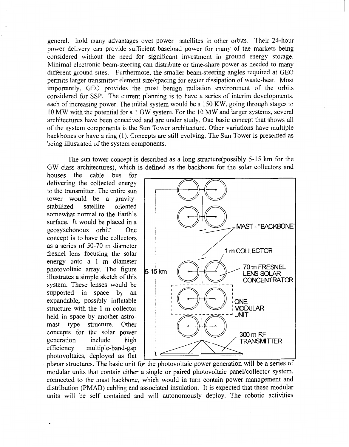general, hold many advantages over power satellites in other orbits. Their 24-hour power delivery can provide sufficient baseload power for many of the markets being considered without the need for significant investment in ground energy storage. Minimal electronic beam-steering can distribute or time-share power as needed to many different ground sites. Furthermore, the smaller beam-steering angles required at GEO permits larger transmitter element size/spacing for easier dissipation of waste-heat. Most importantly, GEO provides the most benign radiation environment of the orbits considered for SSP. The current planning is to have a series of interim developments, each of increasing power. The initial system would be a 150 KW, going through stages to 10 MW with the potential for a 1 GW system. For the 10 MW and larger systems, several architectures have been conceived and are under study. One basic concept that shows all of the system components is the Sun Tower architecture. Other variations have multiple backbones or have a ring (1). Concepts are still evolving. The Sun Tower is presented as being illustrated of the system components.

The sun tower concept is described as a long structure (possibly  $5-15$  km for the GW class architectures), which is defined as the backbone for the solar collectors and

houses the cable bus for delivering the collected energy to the transmitter. The entire sun tower would be a gravity-<br>stabilized satellite oriented oriented somewhat normal to the Earth's surface. It would be placed in a<br>geosyschonous orbit. One geosyschonous orbit. concept is to have the collectors as a series of 50-70 m diameter fresnel lens focusing the solar energy onto a 1 m diameter photovoltaic array. The figure illustrates a simple sketch of this system. These lenses would be supported in space by an expandable, possibly inflatable structure with the **1** m collector held in space by another astro-<br>mast type structure. Other mast type concepts for the solar power<br>generation include high generation<br>efficiency multiple-band-gap photovoltaics, deployed as flat



planar structures. The basic unit for the photovoltaic power generation will be a series of modular units that contain either a single or paired photovoltaic panel/collector system, connected to the mast backbone, which would in turn contain power management and distribution (PMAD) cabling and associated insulation. It is expected that these modular units will be self contained and will autonomously deploy. The robotic activities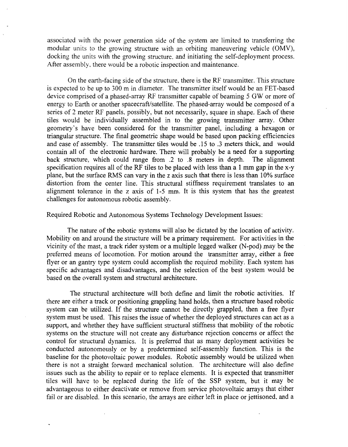associated with the power generation side of the system are limited to transferring the modular units to the growing structure with an orbiting maneuvering vehicle (OMV), docking the units with the growing structure. and initiating the self-deployment process. After assembly, there would be a robotic inspection and maintenance.

On the earth-facing side of the structure, there is the RF transmitter. This structure is expected to be up to 300 m in diameter. The transmitter itself would be an FET-based device comprised of a phased-array RF transmitter capable of beaming *5* GW or more of energy to Earth or another spacecraft/satellite. The phased-array would be composed of a series of 2 meter RF panels, possibly, but not necessarily, square in shape. Each of these tiles would be individually assembled in to the growing transmitter array. Other geometry's have been considered for the transmitter panel, including a hexagon or triangular structure. The final geometric shape would be based upon packing efficiencies and ease of assembly. The transmitter tiles would be .15 to .3 meters thick, and would contain all of the electronic hardware. There will probably be a need for a supporting back structure, which could range from **.2** to **.8** meters in depth. The alignment specification requires all of the RF tiles to be placed with less than a 1 mm gap in the x-y plane, but the surface RMS can vary in the z axis such that there is less than 10% surface distortion from the center line. This structural stiffness requirement translates to an alignment tolerance in the z axis of 1-5 mm. It is this system that has the greatest challenges for autonomous robotic assembly.

Required Robotic and Autonomous Systems Technology Development Issues:

The nature of the robotic systems will also be dictated by the location of activity. Mobility on and around the structure will be a primary requirement. For activities in the vicinity of the mast, a track rider system or a multiple legged walker (N-pod) may be the preferred means of locomotion. For motion around the transmitter array, either a free flyer or an gantry type system could accomplish the required mobility. Each system has specific advantages and disadvantages, and the selection of the best system would be based on the overall system and structural architecture.

The structural architecture will both define and limit the robotic activities. If there are either a track or positioning grappling hand holds, then a structure based robotic system can be utilized. If the structure cannot be directly grappled, then a free flyer system must be used. This raises the issue of whether the deployed structures can act as a support, and whether they have sufficient structural stiffness that mobility of the robotic systems on the structure will not create any disturbance rejection concerns or affect the control for structural dynamics. It is preferred that as many deployment activities be conducted autonomously or by a predetermined self-assembly function. This is the baseline for the photovoltaic power modules. Robotic assembly would be utilized when there is not a straight forward mechanical solution. The architecture will also define issues such as the ability to repair or to replace elements. It is expected that transmitter tiles will have to be replaced during the life of the SSP system, but it may be advantageous to either deactivate or remove from service photovoltaic arrays that either fail or are disabled. In this scenario, the arrays are either left in place or jettisoned, and a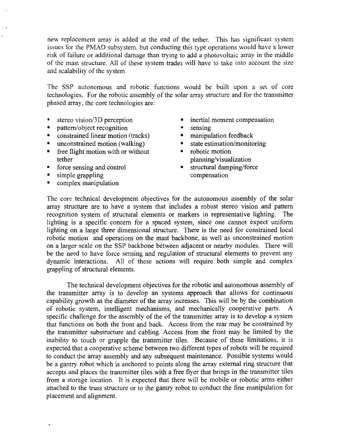new replacement array is added at the end of the tether. This has significant system issues for the PMAD subsystem. but conducting this type operations would have a lower risk of failure or additional damage than trying to add a photovoltaic array in the middle of the mast structure. **All** of these system trades will have to take into account the size and scalability of the system.

The SSP autonomous and robotic functions would be built upon a set of core technologies. For the robotic assembly of the solar array structure and for the transmitter phased array, the core technologies are:

- stereo vision/3D perception
- pattern/object recognition  $\blacksquare$
- constrained linear motion (tracks)
- unconstrained motion (walking)
- **free flight motion with or without** tether
- force sensing and control
- $\bullet$ simple grappling
- complex manipulation  $\blacksquare$
- **u** inertial moment compensation
- sensing
- manipulation feedback<br>■ state estimation/monito
- state estimation/monitoring
- . robotic motion planning/visualization
- . structural damping/force compensation

The core technical development objectives for the autonomous assembly of the solar array structure are to have a system that includes a robust stereo vision and pattern recognition system of structural elements or markers in representative lighting. The lighting is a specific concern for a spaced system, since one cannot expect uniform lighting on a large three dimensional structure. There is the need for constrained local robotic motion and operations on the mast backbone, as well as unconstrained motion on a larger scale on the SSP backbone between adjacent or nearby modules. There will be the need to have force sensing and regulation of structural elements to prevent any dynamic interactions. All of these actions will require both simple and complex grappling of structural elements.

The technical development objectives for the robotic and autonomous assembly of the transmitter array is to develop an systems approach that allows for continuous capability growth as the diameter of the array increases. This will be by the combination of robotic system, intelligent mechanisms, and mechanically cooperative parts. **A**  specific challenge for the assembly of the of the transmitter array is to develop a system that functions on both the front and back. Access from the rear may be constrained by the transmitter substructure and cabling. Access from the front may be limited by the inability to touch or grapple the transmitter tiles. Because of these limitations, it is expected that a cooperative scheme between two different types of robots will be required to conduct the array assembly and any subsequent maintenance. Possible systems would be a gantry robot which is anchored to points along the array external ring structure that accepts and places the transmitter tiles with a free flyer that brings in the transmitter tiles from a storage location. It is expected that there will be mobile or robotic arms either attached to the truss structure or to the gantry robot to conduct the fine manipulation for placement and alignment.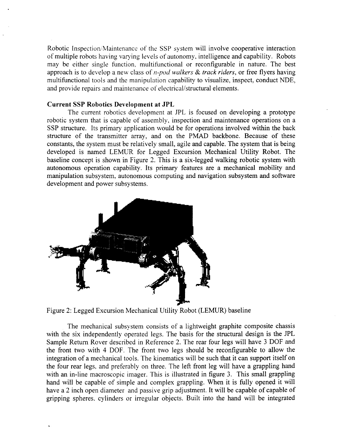Robotic Inspection/Maintenance of the SSP system will involve cooperative interaction of multiple robots having varying levels of autonomy, intelligence and capability. Robots may be either single function, multifunctional or reconfigurable in nature. The best approach is to develop a new class of *n-pod walkers & track riders*, or free flyers having multifunctional tools and the manipulation capability to visualize, inspect, conduct NDE, and provide repairs and maintenance of electrical/structural elements.

### **Current SSP Robotics Development at JPL**

The current robotics development at JPL is focused on developing a prototype robotic system that is capable of assembly, inspection and maintenance operations on a SSP structure. Its primary application would be for operations involved within the back structure of the transmitter array, and on the PMAD backbone. Because of these constants, the system must be relatively small, agile and capable. The system that is being developed is named LEMUR for Legged Excursion Mechanical Utility Robot. The baseline concept is shown in Figure 2. This is a six-legged walking robotic system with autonomous operation capability. Its primary features are a mechanical mobility and manipulation subsystem, autonomous computing and navigation subsystem and software development and power subsystems.



Figure **2:** Legged Excursion Mechanical Utility Robot (LEMUR) baseline

The mechanical subsystem consists of a lightweight graphite composite chassis with the six independently operated legs. The basis for the structural design is the JPL Sample Return Rover described in Reference 2. The rear four legs will have **3** DOF and the front two with 4 DOF. The front two legs should be reconfigurable to allow the integration of a mechanical tools. The kinematics will be such that it can support itself on the four rear legs, and preferably on three. The left front leg will have a grappling hand with an in-line macroscopic imager. This is illustrated in figure 3. This small grappling hand will be capable of simple and complex grappling. When it is fully opened it will have a 2 inch open diameter and passive grip adjustment. It will be capable of capable of gripping spheres. cylinders or irregular objects. Built into the hand will be integrated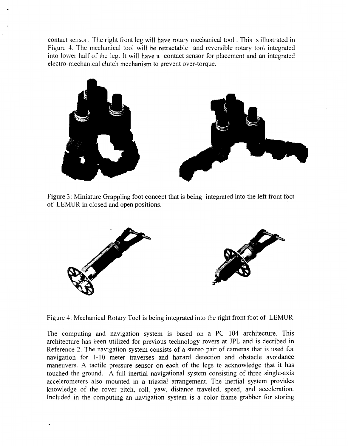contact sensor. 'The right front leg will have rotary mechanical tool . This is illustrated in Figure 4. The mechanical tool will be retractable and reversible rotary tool integrated into lower half of the leg. It will have a contact sensor for placement and an integrated electro-mechanical clutch mechanism to prevent over-torque.



Figure 3: Miniature Grappling foot concept that is being integrated into the left front foot of LEMUR in closed and open positions.



Figure 4: Mechanical Rotary Tool is being integrated into the right front foot of LEMUR

The computing and navigation system is based on a PC 104 architecture. This architecture has been utilized for previous technology rovers at JPL and is decribed in Reference 2. The navigation system consists of a stereo pair of cameras that is used for navigation for 1-10 meter traverses and hazard detection and obstacle avoidance maneuvers. **A** tactile pressure sensor on each of the legs to acknowledge that it has touched the ground. **A** full inertial navigational system consisting of three single-axis accelerometers also mounted in a triaxial arrangement. The inertial system provides knowledge of the rover pitch, roll, yaw, distance traveled, speed, and acceleration. Included in the computing an navigation system is a color frame grabber for storing